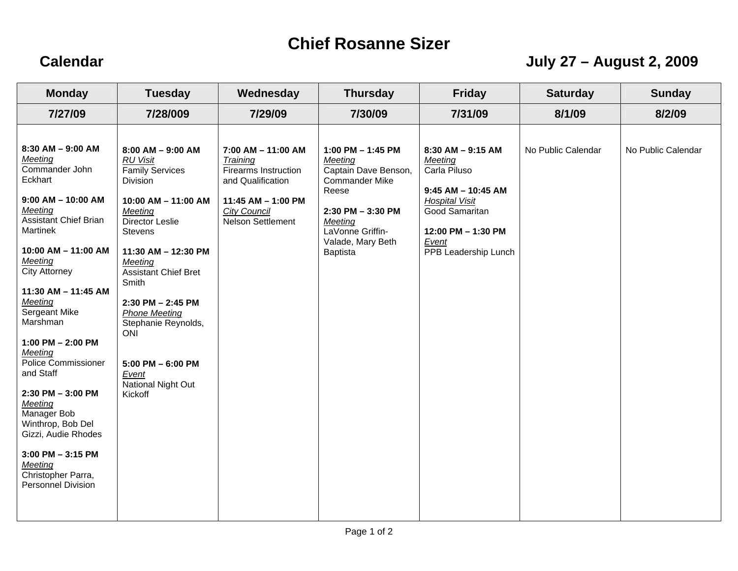## **Chief Rosanne Sizer**

## **Calendar July 27 – August 2, 2009**

| <b>Monday</b>                                                                                                                                                                                                                                                                                                                                                                                                                                                                                                                               | <b>Tuesday</b>                                                                                                                                                                                                                                                                                                                                                                  | Wednesday                                                                                                                                                       | <b>Thursday</b>                                                                                                                                                               | <b>Friday</b>                                                                                                                                                               | <b>Saturday</b>    | <b>Sunday</b>      |
|---------------------------------------------------------------------------------------------------------------------------------------------------------------------------------------------------------------------------------------------------------------------------------------------------------------------------------------------------------------------------------------------------------------------------------------------------------------------------------------------------------------------------------------------|---------------------------------------------------------------------------------------------------------------------------------------------------------------------------------------------------------------------------------------------------------------------------------------------------------------------------------------------------------------------------------|-----------------------------------------------------------------------------------------------------------------------------------------------------------------|-------------------------------------------------------------------------------------------------------------------------------------------------------------------------------|-----------------------------------------------------------------------------------------------------------------------------------------------------------------------------|--------------------|--------------------|
| 7/27/09                                                                                                                                                                                                                                                                                                                                                                                                                                                                                                                                     | 7/28/009                                                                                                                                                                                                                                                                                                                                                                        | 7/29/09                                                                                                                                                         | 7/30/09                                                                                                                                                                       | 7/31/09                                                                                                                                                                     | 8/1/09             | 8/2/09             |
| $8:30$ AM $-9:00$ AM<br>Meeting<br>Commander John<br>Eckhart<br>$9:00$ AM $-$ 10:00 AM<br>Meeting<br><b>Assistant Chief Brian</b><br><b>Martinek</b><br>$10:00$ AM $-$ 11:00 AM<br>Meeting<br><b>City Attorney</b><br>11:30 AM - 11:45 AM<br>Meeting<br>Sergeant Mike<br>Marshman<br>1:00 PM $-$ 2:00 PM<br>Meeting<br><b>Police Commissioner</b><br>and Staff<br>$2:30$ PM $-3:00$ PM<br>Meeting<br>Manager Bob<br>Winthrop, Bob Del<br>Gizzi, Audie Rhodes<br>$3:00$ PM $-3:15$ PM<br>Meeting<br>Christopher Parra,<br>Personnel Division | $8:00$ AM $-9:00$ AM<br><b>RU Visit</b><br><b>Family Services</b><br>Division<br>10:00 AM - 11:00 AM<br>Meeting<br>Director Leslie<br>Stevens<br>11:30 AM - 12:30 PM<br>Meeting<br><b>Assistant Chief Bret</b><br>Smith<br>$2:30$ PM $- 2:45$ PM<br><b>Phone Meeting</b><br>Stephanie Reynolds,<br><b>ONI</b><br>$5:00$ PM $-6:00$ PM<br>Event<br>National Night Out<br>Kickoff | $7:00$ AM $-$ 11:00 AM<br>Training<br><b>Firearms Instruction</b><br>and Qualification<br>11:45 AM - 1:00 PM<br><b>City Council</b><br><b>Nelson Settlement</b> | 1:00 PM $-$ 1:45 PM<br>Meeting<br>Captain Dave Benson,<br><b>Commander Mike</b><br>Reese<br>2:30 PM - 3:30 PM<br>Meeting<br>LaVonne Griffin-<br>Valade, Mary Beth<br>Baptista | $8:30$ AM $-9:15$ AM<br>Meeting<br>Carla Piluso<br>$9:45$ AM $-$ 10:45 AM<br><b>Hospital Visit</b><br>Good Samaritan<br>12:00 PM - 1:30 PM<br>Event<br>PPB Leadership Lunch | No Public Calendar | No Public Calendar |
|                                                                                                                                                                                                                                                                                                                                                                                                                                                                                                                                             |                                                                                                                                                                                                                                                                                                                                                                                 |                                                                                                                                                                 |                                                                                                                                                                               |                                                                                                                                                                             |                    |                    |